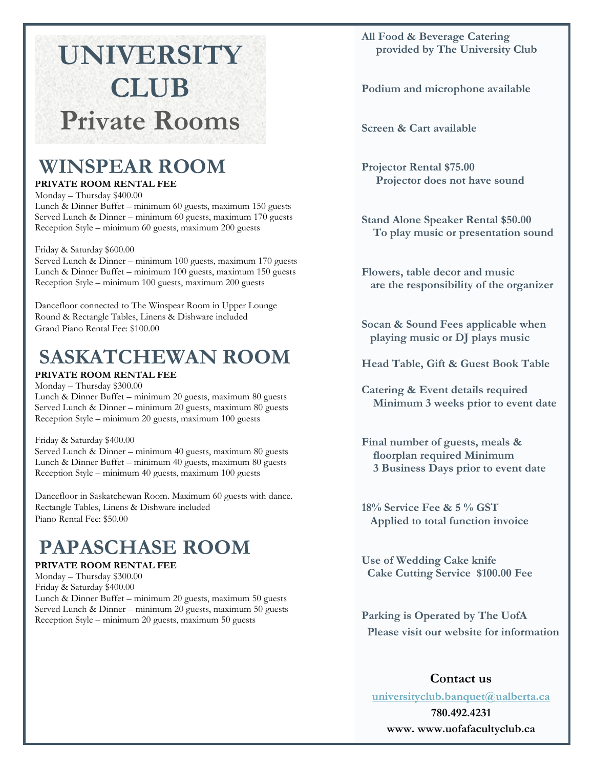# **UNIVERSITY CLUB Private Rooms**

## **WINSPEAR ROOM**

#### **PRIVATE ROOM RENTAL FEE**

Monday – Thursday \$400.00 Lunch & Dinner Buffet – minimum 60 guests, maximum 150 guests Served Lunch & Dinner – minimum 60 guests, maximum 170 guests Reception Style – minimum 60 guests, maximum 200 guests

Friday & Saturday \$600.00

Served Lunch & Dinner – minimum 100 guests, maximum 170 guests Lunch & Dinner Buffet – minimum 100 guests, maximum 150 guests Reception Style – minimum 100 guests, maximum 200 guests

Dancefloor connected to The Winspear Room in Upper Lounge Round & Rectangle Tables, Linens & Dishware included Grand Piano Rental Fee: \$100.00

## **SASKATCHEWAN ROOM**

#### **PRIVATE ROOM RENTAL FEE**

Monday – Thursday \$300.00 Lunch & Dinner Buffet – minimum 20 guests, maximum 80 guests Served Lunch & Dinner – minimum 20 guests, maximum 80 guests Reception Style – minimum 20 guests, maximum 100 guests

#### Friday & Saturday \$400.00

Served Lunch & Dinner – minimum 40 guests, maximum 80 guests Lunch & Dinner Buffet – minimum 40 guests, maximum 80 guests Reception Style – minimum 40 guests, maximum 100 guests

Dancefloor in Saskatchewan Room. Maximum 60 guests with dance. Rectangle Tables, Linens & Dishware included Piano Rental Fee: \$50.00

## **PAPASCHASE ROOM**

#### **PRIVATE ROOM RENTAL FEE**

Monday – Thursday \$300.00 Friday & Saturday \$400.00 Lunch & Dinner Buffet – minimum 20 guests, maximum 50 guests Served Lunch & Dinner – minimum 20 guests, maximum 50 guests Reception Style – minimum 20 guests, maximum 50 guests

#### **All Food & Beverage Catering provided by The University Club**

**Podium and microphone available** 

**Screen & Cart available** 

**Projector Rental \$75.00 Projector does not have sound**

**Stand Alone Speaker Rental \$50.00 To play music or presentation sound** 

**Flowers, table decor and music are the responsibility of the organizer** 

**Socan & Sound Fees applicable when playing music or DJ plays music** 

**Head Table, Gift & Guest Book Table**

**Catering & Event details required Minimum 3 weeks prior to event date** 

**Final number of guests, meals & floorplan required Minimum 3 Business Days prior to event date** 

**18% Service Fee & 5 % GST Applied to total function invoice** 

**Use of Wedding Cake knife Cake Cutting Service \$100.00 Fee** 

**Parking is Operated by The UofA Please visit our website for information** 

### **Contact us**

**[universityclub.banquet@ualberta.ca](mailto:universityclub.banquet@ualberta.ca) 780.492.4231**

**www. www.uofafacultyclub.ca**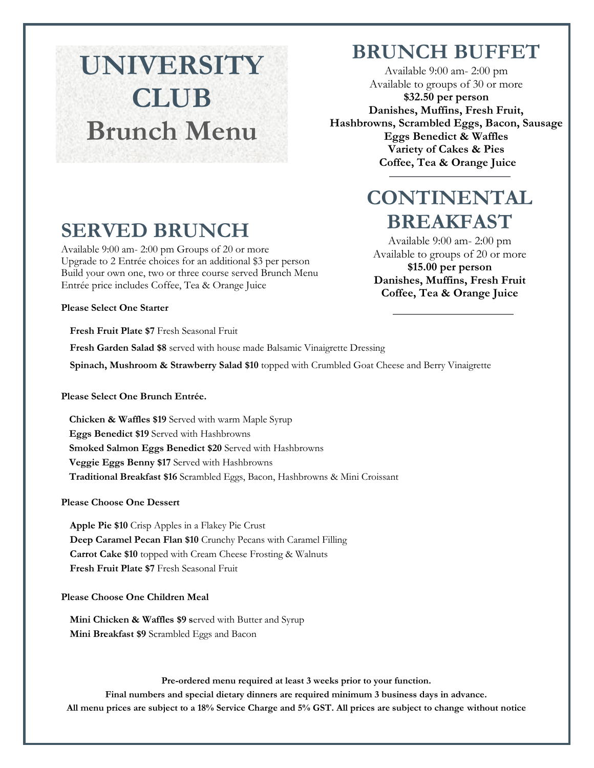# **UNIVERSITY CLUB Brunch Menu**

## **BRUNCH BUFFET**

Available 9:00 am- 2:00 pm Available to groups of 30 or more **\$32.50 per person Danishes, Muffins, Fresh Fruit, Hashbrowns, Scrambled Eggs, Bacon, Sausage Eggs Benedict & Waffles Variety of Cakes & Pies Coffee, Tea & Orange Juice** 

# **CONTINENTAL Coffee Tea & Orange Juice BREAKFAST**

Available 9:00 am- 2:00 pm Available to groups of 20 or more **\$15.00 per person Danishes, Muffins, Fresh Fruit Coffee, Tea & Orange Juice** 

# **SERVED BRUNCH**

Available 9:00 am- 2:00 pm Groups of 20 or more Upgrade to 2 Entrée choices for an additional \$3 per person Build your own one, two or three course served Brunch Menu Entrée price includes Coffee, Tea & Orange Juice

**Please Select One Starter**

**Fresh Fruit Plate \$7** Fresh Seasonal Fruit

**Fresh Garden Salad \$8** served with house made Balsamic Vinaigrette Dressing

**Spinach, Mushroom & Strawberry Salad \$10** topped with Crumbled Goat Cheese and Berry Vinaigrette

#### **Please Select One Brunch Entrée.**

**Chicken & Waffles \$19** Served with warm Maple Syrup **Eggs Benedict \$19** Served with Hashbrowns **Smoked Salmon Eggs Benedict \$20** Served with Hashbrowns **Veggie Eggs Benny \$17** Served with Hashbrowns **Traditional Breakfast \$16** Scrambled Eggs, Bacon, Hashbrowns & Mini Croissant

**Please Choose One Dessert**

**Apple Pie \$10** Crisp Apples in a Flakey Pie Crust **Deep Caramel Pecan Flan \$10** Crunchy Pecans with Caramel Filling **Carrot Cake \$10** topped with Cream Cheese Frosting & Walnuts **Fresh Fruit Plate \$7** Fresh Seasonal Fruit

#### **Please Choose One Children Meal**

**Mini Chicken & Waffles \$9 s**erved with Butter and Syrup **Mini Breakfast \$9** Scrambled Eggs and Bacon

**Pre-ordered menu required at least 3 weeks prior to your function. Final numbers and special dietary dinners are required minimum 3 business days in advance. All menu prices are subject to a 18% Service Charge and 5% GST. All prices are subject to change without notice**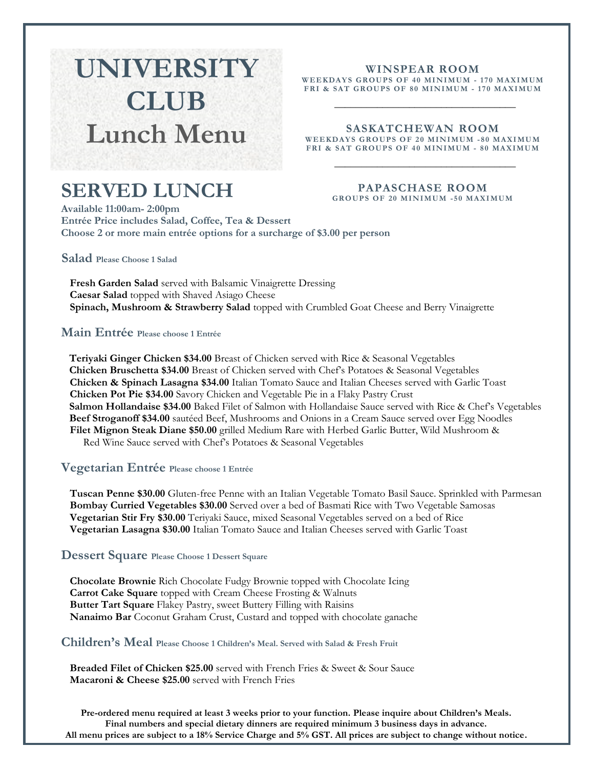# **UNIVERSITY CLUB Lunch Menu**

#### **WINSPEAR ROOM**

**WEE KDAY S GROUPS O F 4 0 MI N IMUM - 1 70 MAXI M UM FRI & SAT GROUPS OF 8 0 MI N I MUM - 1 7 0 MA XI MU M**

\_\_\_\_\_\_\_\_\_\_\_\_\_\_\_\_\_\_\_\_\_\_\_\_\_\_\_\_\_\_\_\_\_\_

### **SASKATCHEWAN ROOM**

**WEEKDAYS GROUPS OF 20 MINIMUM -80 MAXIMUM** FRI & SAT GROUPS OF 40 MINIMUM - 80 MAXIMUM  $\overline{\phantom{a}}$  , and the set of the set of the set of the set of the set of the set of the set of the set of the set of the set of the set of the set of the set of the set of the set of the set of the set of the set of the s

## **SERVED LUNCH**

#### **PAPASCHASE ROOM GROUPS OF 20 MINIMUM -50 MAXIMUM**

**Available 11:00am- 2:00pm Entrée Price includes Salad, Coffee, Tea & Dessert Choose 2 or more main entrée options for a surcharge of \$3.00 per person**

**Salad Please Choose 1 Salad**

**Fresh Garden Salad** served with Balsamic Vinaigrette Dressing **Caesar Salad** topped with Shaved Asiago Cheese **Spinach, Mushroom & Strawberry Salad** topped with Crumbled Goat Cheese and Berry Vinaigrette

**Main Entrée Please choose 1 Entrée**

**Teriyaki Ginger Chicken \$34.00** Breast of Chicken served with Rice & Seasonal Vegetables **Chicken Bruschetta \$34.00** Breast of Chicken served with Chef's Potatoes & Seasonal Vegetables **Chicken & Spinach Lasagna \$34.00** Italian Tomato Sauce and Italian Cheeses served with Garlic Toast **Chicken Pot Pie \$34.00** Savory Chicken and Vegetable Pie in a Flaky Pastry Crust **Salmon Hollandaise \$34.00** Baked Filet of Salmon with Hollandaise Sauce served with Rice & Chef's Vegetables **Beef Stroganoff \$34.00** sautéed Beef, Mushrooms and Onions in a Cream Sauce served over Egg Noodles **Filet Mignon Steak Diane \$50.00** grilled Medium Rare with Herbed Garlic Butter, Wild Mushroom & Red Wine Sauce served with Chef's Potatoes & Seasonal Vegetables

#### **Vegetarian Entrée Please choose 1 Entrée**

**Tuscan Penne \$30.00** Gluten-free Penne with an Italian Vegetable Tomato Basil Sauce. Sprinkled with Parmesan **Bombay Curried Vegetables \$30.00** Served over a bed of Basmati Rice with Two Vegetable Samosas **Vegetarian Stir Fry \$30.00** Teriyaki Sauce, mixed Seasonal Vegetables served on a bed of Rice **Vegetarian Lasagna \$30.00** Italian Tomato Sauce and Italian Cheeses served with Garlic Toast

#### **Dessert Square Please Choose 1 Dessert Square**

**Chocolate Brownie** Rich Chocolate Fudgy Brownie topped with Chocolate Icing **Carrot Cake Square** topped with Cream Cheese Frosting & Walnuts **Butter Tart Square** Flakey Pastry, sweet Buttery Filling with Raisins **Nanaimo Bar** Coconut Graham Crust, Custard and topped with chocolate ganache

#### **Children's Meal Please Choose 1 Children's Meal. Served with Salad & Fresh Fruit**

**Breaded Filet of Chicken \$25.00** served with French Fries & Sweet & Sour Sauce **Macaroni & Cheese \$25.00** served with French Fries

**Pre-ordered menu required at least 3 weeks prior to your function. Please inquire about Children's Meals. Final numbers and special dietary dinners are required minimum 3 business days in advance. All menu prices are subject to a 18% Service Charge and 5% GST. All prices are subject to change without notice.**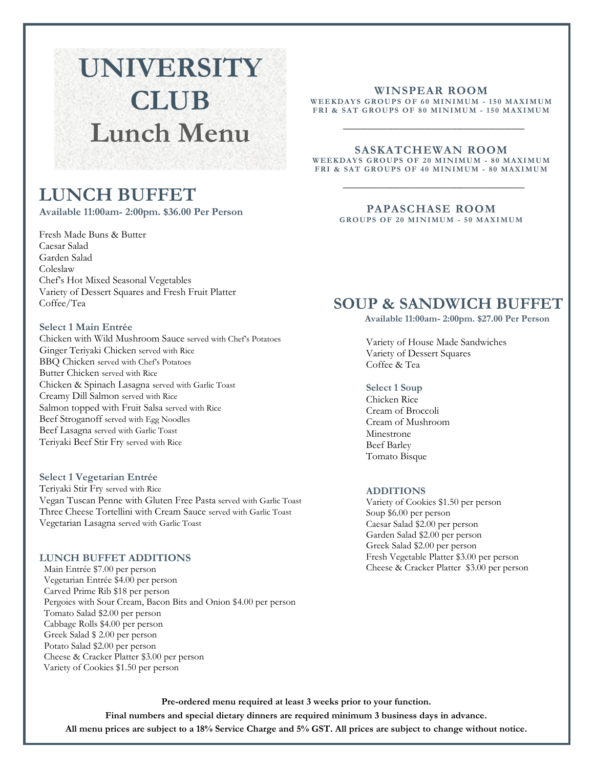# **UNIVERSITY CLUB Lunch Menu**

## **LUNCH BUFFET**

**Available 11:00am- 2:00pm. \$36.00 Per Person** 

Fresh Made Buns & Butter Caesar Salad Garden Salad Coleslaw Chef's Hot Mixed Seasonal Vegetables Variety of Dessert Squares and Fresh Fruit Platter Coffee/Tea

#### **Select 1 Main Entrée**

Chicken with Wild Mushroom Sauce served with Chef's Potatoes Ginger Teriyaki Chicken served with Rice BBQ Chicken served with Chef's Potatoes Butter Chicken served with Rice Chicken & Spinach Lasagna served with Garlic Toast Creamy Dill Salmon served with Rice Salmon topped with Fruit Salsa served with Rice Beef Stroganoff served with Egg Noodles Beef Lasagna served with Garlic Toast Teriyaki Beef Stir Fry served with Rice

**Select 1 Vegetarian Entrée** Teriyaki Stir Fry served with Rice Vegan Tuscan Penne with Gluten Free Pasta served with Garlic Toast

Three Cheese Tortellini with Cream Sauce served with Garlic Toast Vegetarian Lasagna served with Garlic Toast

#### **LUNCH BUFFET ADDITIONS**

Main Entrée \$7.00 per person Vegetarian Entrée \$4.00 per person Carved Prime Rib \$18 per person Pergoies with Sour Cream, Bacon Bits and Onion \$4.00 per person Tomato Salad \$2.00 per person Cabbage Rolls \$4.00 per person Greek Salad \$ 2.00 per person Potato Salad \$2.00 per person Cheese & Cracker Platter \$3.00 per person Variety of Cookies \$1.50 per person

#### **WINSPEAR ROOM**

WEEKDAYS GROUPS OF 60 MINIMUM - 150 MAXIMUM **FRI & SAT GROUPS OF 8 0 MI N I MUM - 1 5 0 MA XI MU M**  $\_$ 

#### **SASKATCHEWAN ROOM**

WEEKDAYS GROUPS OF 20 MINIMUM - 80 MAXIMUM FRI & SAT GROUPS OF 40 MINIMUM - 80 MAXIMUM \_\_\_\_\_\_\_\_\_\_\_\_\_\_\_\_\_\_\_\_\_\_\_\_\_\_\_\_\_\_\_\_\_\_

#### **PAPASCHASE ROOM**

**GROUPS OF 20 MINIMUM - 50 MAXIMUM** 

## **SOUP & SANDWICH BUFFET**

 **Available 11:00am- 2:00pm. \$27.00 Per Person** 

Variety of House Made Sandwiches Variety of Dessert Squares Coffee & Tea

**Select 1 Soup**  Chicken Rice Cream of Broccoli Cream of Mushroom Minestrone Beef Barley Tomato Bisque

#### **ADDITIONS**

Variety of Cookies \$1.50 per person Soup \$6.00 per person Caesar Salad \$2.00 per person Garden Salad \$2.00 per person Greek Salad \$2.00 per person Fresh Vegetable Platter \$3.00 per person Cheese & Cracker Platter \$3.00 per person

**Pre-ordered menu required at least 3 weeks prior to your function. Final numbers and special dietary dinners are required minimum 3 business days in advance. All menu prices are subject to a 18% Service Charge and 5% GST. All prices are subject to change without notice.**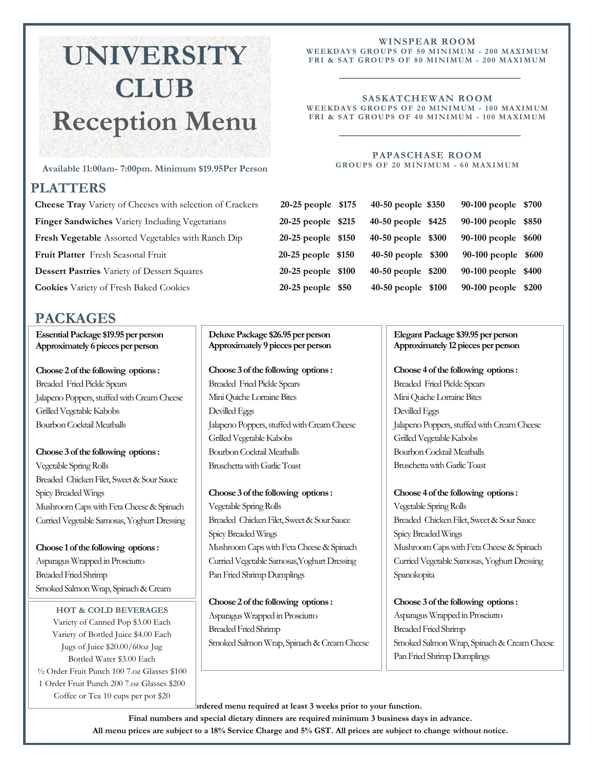# **UNIVERSITY CLUB Reception Menu**

#### **Available 11:00am- 7:00pm. Minimum \$19.95Per Person**

### **PLATTERS**

**Cheese Tray** Variety of Cheeses with selection of Crackers 20 **Finger Sandwiches** Variety Including Vegetarians **215 Fresh Vegetable** Assorted Vegetables with Ranch Dip 20 **Fruit Platter** Fresh Seasonal Fruit **2000-100-260 percent 2000 Dessert Pastries** Variety of Dessert Squares **2000 2000 2000 9000 900 900 percent 200 Cookies** Variety of Fresh Baked Cookies **2000-100-250 percent** 

## **PACKAGES**

**Essential Package \$19.95 per person Approximately 6 pieces per person** 

**Choose 2 of the following options :** Breaded Fried Pickle Spears Jalapeno Poppers, stuffed with Cream Cheese Grilled Vegetable Kabobs Bourbon Cocktail Meatballs

**Choose 3 of the following options :** Vegetable Spring Rolls Breaded Chicken Filet, Sweet & Sour Sauce Spicy Breaded Wings Mushroom Caps with Feta Cheese & Spinach Curried Vegetable Samosas, Yoghurt Dressing

**Choose 1 of the following options :** Asparagus Wrapped in Prosciutto Breaded Fried Shrimp Smoked Salmon Wrap, Spinach & Cream

Cheese **HOT & COLD BEVERAGES**  Variety of Canned Pop \$3.00 Each Variety of Bottled Juice \$4.00 Each Jugs of Juice \$20.00/60oz Jug Bottled Water \$3.00 Each ½ Order Fruit Punch 100 7.oz Glasses \$100 1 Order Fruit Punch 200 7.oz Glasses \$200 Coffee or Tea 10 cups per pot \$20

**Deluxe Package \$26.95 per person Approximately 9 pieces per person** 

**Choose 3 of the following options :**

Breaded Fried Pickle Spears Mini Quiche Lorraine Bites Devilled Eggs Jalapeno Poppers, stuffed with Cream Cheese Grilled Vegetable Kabobs Bourbon Cocktail Meatballs Bruschetta with Garlic Toast

**Choose 3 of the following options :** Vegetable Spring Rolls Breaded Chicken Filet, Sweet & Sour Sauce Spicy Breaded Wings Mushroom Caps with Feta Cheese & Spinach Curried Vegetable Samosas,Yoghurt Dressing Pan Fried Shrimp Dumplings

**Choose 2 of the following options :** Asparagus Wrapped in Prosciutto Breaded Fried Shrimp Smoked Salmon Wrap, Spinach & Cream Cheese

#### **WINSPEAR ROOM**

WEEKDAYS GROUPS OF 50 MINIMUM - 200 MAXIMUM **FRI & SAT GROUPS OF 8 0 MI N I MUM - 20 0 MAXI MU M** \_\_\_\_\_\_\_\_\_\_\_\_\_\_\_\_\_\_\_\_\_\_\_\_\_\_\_\_\_\_\_\_\_\_

#### **SASKATCHEWAN ROOM**  WEEKDAYS GROUPS OF 20 MINIMUM - 100 MAXIMUM **FRI & SAT GROUPS OF 4 0 MI N I MUM - 1 0 0 MA XI MU M**

\_\_\_\_\_\_\_\_\_\_\_\_\_\_\_\_\_\_\_\_\_\_\_\_\_\_\_\_\_\_\_\_\_\_

#### **PAPASCHASE ROOM GROUPS OF 20 MINIMUM - 60 MAXIMUM**

| 0-25 people \$175 | 40-50 people \$350 | 90-100 people \$700 |  |
|-------------------|--------------------|---------------------|--|
| 0-25 people \$215 | 40-50 people \$425 | 90-100 people \$850 |  |
| 0-25 people \$150 | 40-50 people \$300 | 90-100 people \$600 |  |
| 0-25 people \$150 | 40-50 people \$300 | 90-100 people \$600 |  |
| 0-25 people \$100 | 40-50 people \$200 | 90-100 people \$400 |  |
| 0-25 people \$50  | 40-50 people \$100 | 90-100 people \$200 |  |
|                   |                    |                     |  |

#### **Elegant Package \$39.95 per person Approximately 12 pieces per person**

**Choose 4 of the following options :**

Breaded Fried Pickle Spears Mini Quiche Lorraine Bites Devilled Eggs Jalapeno Poppers, stuffed with Cream Cheese Grilled Vegetable Kabobs Bourbon Cocktail Meatballs Bruschetta with Garlic Toast

**Choose 4 of the following options :**

Vegetable Spring Rolls Breaded Chicken Filet, Sweet & Sour Sauce Spicy Breaded Wings Mushroom Caps with Feta Cheese & Spinach Curried Vegetable Samosas, Yoghurt Dressing Spanokopita

**Choose 3 of the following options :** Asparagus Wrapped in Prosciutto Breaded Fried Shrimp Smoked Salmon Wrap, Spinach & Cream Cheese Pan Fried Shrimp Dumplings

brdered menu required at least 3 weeks prior to your function. **Final numbers and special dietary dinners are required minimum 3 business days in advance. All menu prices are subject to a 18% Service Charge and 5% GST. All prices are subject to change without notice.**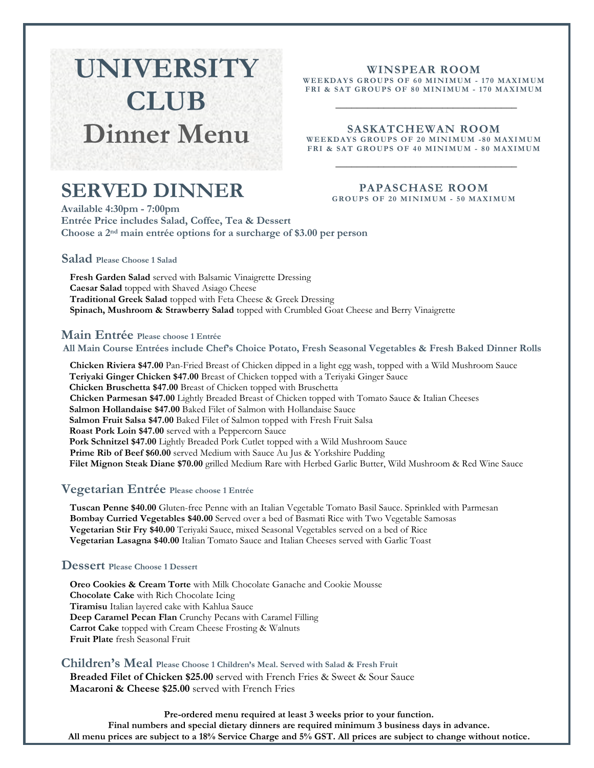# **UNIVERSITY CLUB Dinner Menu**

### **WINSPEAR ROOM**

**WEE KDAY S GROUPS O F 6 0 MI N IMUM - 1 70 MAXI M UM FRI & SAT GROUPS OF 8 0 MI N I MUM - 1 7 0 MA XI MU M**

\_\_\_\_\_\_\_\_\_\_\_\_\_\_\_\_\_\_\_\_\_\_\_\_\_\_\_\_\_\_\_\_\_\_

#### **SASKATCHEWAN ROOM**

WEEKDAYS GROUPS OF 20 MINIMUM -80 MAXIMUM FRI & SAT GROUPS OF 40 MINIMUM - 80 MAXIMUM \_\_\_\_\_\_\_\_\_\_\_\_\_\_\_\_\_\_\_\_\_\_\_\_\_\_\_\_\_\_\_\_\_\_

## **SERVED DINNER**

#### **PAPASCHASE ROOM GROUPS OF 20 MINIMUM - 50 MAXIMUM**

**Available 4:30pm - 7:00pm Entrée Price includes Salad, Coffee, Tea & Dessert Choose a 2nd main entrée options for a surcharge of \$3.00 per person**

#### **Salad Please Choose 1 Salad**

**Fresh Garden Salad** served with Balsamic Vinaigrette Dressing **Caesar Salad** topped with Shaved Asiago Cheese **Traditional Greek Salad** topped with Feta Cheese & Greek Dressing **Spinach, Mushroom & Strawberry Salad** topped with Crumbled Goat Cheese and Berry Vinaigrette

#### **Main Entrée Please choose 1 Entrée**

#### **All Main Course Entrées include Chef's Choice Potato, Fresh Seasonal Vegetables & Fresh Baked Dinner Rolls**

**Chicken Riviera \$47.00** Pan-Fried Breast of Chicken dipped in a light egg wash, topped with a Wild Mushroom Sauce **Teriyaki Ginger Chicken \$47.00** Breast of Chicken topped with a Teriyaki Ginger Sauce **Chicken Bruschetta \$47.00** Breast of Chicken topped with Bruschetta **Chicken Parmesan \$47.00** Lightly Breaded Breast of Chicken topped with Tomato Sauce & Italian Cheeses **Salmon Hollandaise \$47.00** Baked Filet of Salmon with Hollandaise Sauce **Salmon Fruit Salsa \$47.00** Baked Filet of Salmon topped with Fresh Fruit Salsa **Roast Pork Loin \$47.00** served with a Peppercorn Sauce **Pork Schnitzel \$47.00** Lightly Breaded Pork Cutlet topped with a Wild Mushroom Sauce **Prime Rib of Beef \$60.00** served Medium with Sauce Au Jus & Yorkshire Pudding **Filet Mignon Steak Diane \$70.00** grilled Medium Rare with Herbed Garlic Butter, Wild Mushroom & Red Wine Sauce

#### **Vegetarian Entrée Please choose 1 Entrée**

**Tuscan Penne \$40.00** Gluten-free Penne with an Italian Vegetable Tomato Basil Sauce. Sprinkled with Parmesan **Bombay Curried Vegetables \$40.00** Served over a bed of Basmati Rice with Two Vegetable Samosas **Vegetarian Stir Fry \$40.00** Teriyaki Sauce, mixed Seasonal Vegetables served on a bed of Rice **Vegetarian Lasagna \$40.00** Italian Tomato Sauce and Italian Cheeses served with Garlic Toast

#### **Dessert Please Choose 1 Dessert**

**Oreo Cookies & Cream Torte** with Milk Chocolate Ganache and Cookie Mousse **Chocolate Cake** with Rich Chocolate Icing **Tiramisu** Italian layered cake with Kahlua Sauce **Deep Caramel Pecan Flan** Crunchy Pecans with Caramel Filling **Carrot Cake** topped with Cream Cheese Frosting & Walnuts **Fruit Plate** fresh Seasonal Fruit

## **Children's Meal Please Choose 1 Children's Meal. Served with Salad & Fresh Fruit**

**Breaded Filet of Chicken \$25.00** served with French Fries & Sweet & Sour Sauce **Macaroni & Cheese \$25.00** served with French Fries

**Pre-ordered menu required at least 3 weeks prior to your function. Final numbers and special dietary dinners are required minimum 3 business days in advance. All menu prices are subject to a 18% Service Charge and 5% GST. All prices are subject to change without notice.**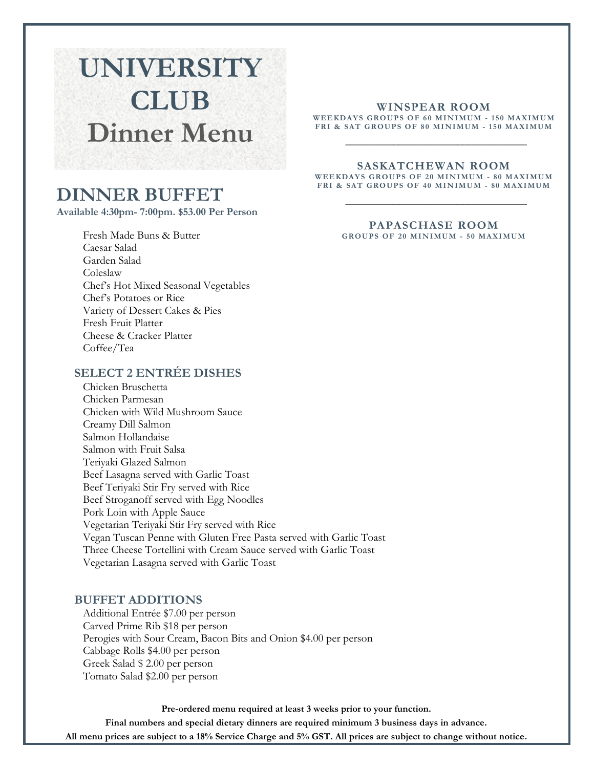# **UNIVERSITY CLUB Dinner Menu**

## **DINNER BUFFET**

**Available 4:30pm- 7:00pm. \$53.00 Per Person** 

Fresh Made Buns & Butter Caesar Salad Garden Salad Coleslaw Chef's Hot Mixed Seasonal Vegetables Chef's Potatoes or Rice Variety of Dessert Cakes & Pies Fresh Fruit Platter Cheese & Cracker Platter Coffee/Tea

### **SELECT 2 ENTRÉE DISHES**

Chicken Bruschetta Chicken Parmesan Chicken with Wild Mushroom Sauce Creamy Dill Salmon Salmon Hollandaise Salmon with Fruit Salsa Teriyaki Glazed Salmon Beef Lasagna served with Garlic Toast Beef Teriyaki Stir Fry served with Rice Beef Stroganoff served with Egg Noodles Pork Loin with Apple Sauce Vegetarian Teriyaki Stir Fry served with Rice Vegan Tuscan Penne with Gluten Free Pasta served with Garlic Toast Three Cheese Tortellini with Cream Sauce served with Garlic Toast Vegetarian Lasagna served with Garlic Toast

#### **BUFFET ADDITIONS**

Additional Entrée \$7.00 per person Carved Prime Rib \$18 per person Perogies with Sour Cream, Bacon Bits and Onion \$4.00 per person Cabbage Rolls \$4.00 per person Greek Salad \$ 2.00 per person Tomato Salad \$2.00 per person

**Pre-ordered menu required at least 3 weeks prior to your function.** 

**Final numbers and special dietary dinners are required minimum 3 business days in advance.**

**All menu prices are subject to a 18% Service Charge and 5% GST. All prices are subject to change without notice.**

#### **WINSPEAR ROOM**

WEEKDAYS GROUPS OF 60 MINIMUM - 150 MAXIMUM **FRI & SAT GROUPS OF 8 0 MI N I MUM - 1 5 0 MA XI MU M**

\_\_\_\_\_\_\_\_\_\_\_\_\_\_\_\_\_\_\_\_\_\_\_\_\_\_\_\_\_\_\_\_\_\_

#### **SASKATCHEWAN ROOM**

WEEKDAYS GROUPS OF 20 MINIMUM - 80 MAXIMUM FRI & SAT GROUPS OF 40 MINIMUM - 80 MAXIMUM \_\_\_\_\_\_\_\_\_\_\_\_\_\_\_\_\_\_\_\_\_\_\_\_\_\_\_\_\_\_\_\_\_\_

#### **PAPASCHASE ROOM**

GROUPS OF 20 MINIMUM - 50 MAXIMUM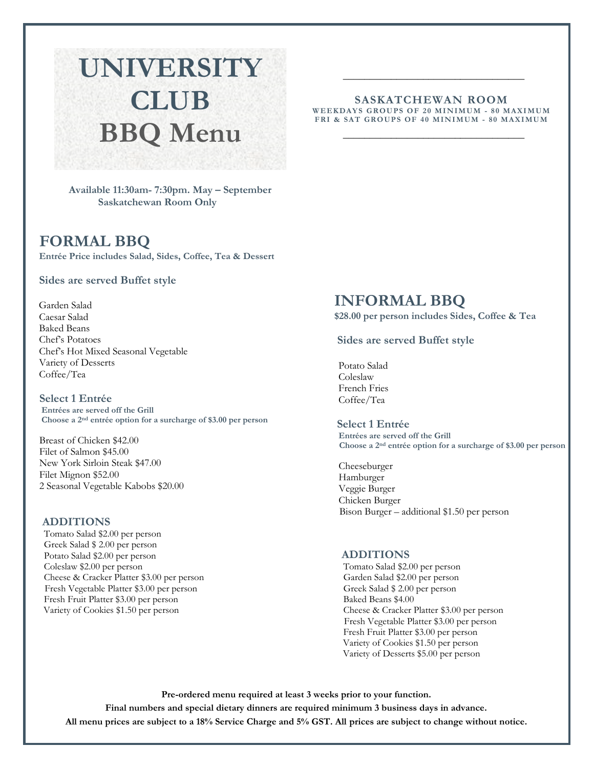# **UNIVERSITY CLUB BBQ Menu**

 **Available 11:30am- 7:30pm. May – September Saskatchewan Room Only** 

### **FORMAL BBQ**

**Entrée Price includes Salad, Sides, Coffee, Tea & Dessert** 

#### **Sides are served Buffet style**

Garden Salad Caesar Salad Baked Beans Chef's Potatoes Chef's Hot Mixed Seasonal Vegetable Variety of Desserts Coffee/Tea

**Select 1 Entrée Entrées are served off the Grill Choose a 2nd entrée option for a surcharge of \$3.00 per person**

Breast of Chicken \$42.00 Filet of Salmon \$45.00 New York Sirloin Steak \$47.00 Filet Mignon \$52.00 2 Seasonal Vegetable Kabobs \$20.00

#### **ADDITIONS**

Tomato Salad \$2.00 per person Greek Salad \$ 2.00 per person Potato Salad \$2.00 per person Coleslaw \$2.00 per person Cheese & Cracker Platter \$3.00 per person Fresh Vegetable Platter \$3.00 per person Fresh Fruit Platter \$3.00 per person Variety of Cookies \$1.50 per person

#### **SASKATCHEWAN ROOM**  WEEKDAYS GROUPS OF 20 MINIMUM - 80 MAXIMUM FRI & SAT GROUPS OF 40 MINIMUM - 80 MAXIMUM

 $\_$ 

\_\_\_\_\_\_\_\_\_\_\_\_\_\_\_\_\_\_\_\_\_\_\_\_\_\_\_\_\_\_\_\_\_\_

### **INFORMAL BBQ**

**\$28.00 per person includes Sides, Coffee & Tea**

#### **Sides are served Buffet style**

Potato Salad Coleslaw French Fries Coffee/Tea

**Select 1 Entrée Entrées are served off the Grill Choose a 2nd entrée option for a surcharge of \$3.00 per person**

Cheeseburger Hamburger Veggie Burger Chicken Burger Bison Burger – additional \$1.50 per person

#### **ADDITIONS**

Tomato Salad \$2.00 per person Garden Salad \$2.00 per person Greek Salad \$ 2.00 per person Baked Beans \$4.00 Cheese & Cracker Platter \$3.00 per person Fresh Vegetable Platter \$3.00 per person Fresh Fruit Platter \$3.00 per person Variety of Cookies \$1.50 per person Variety of Desserts \$5.00 per person

**Pre-ordered menu required at least 3 weeks prior to your function. Final numbers and special dietary dinners are required minimum 3 business days in advance. All menu prices are subject to a 18% Service Charge and 5% GST. All prices are subject to change without notice.**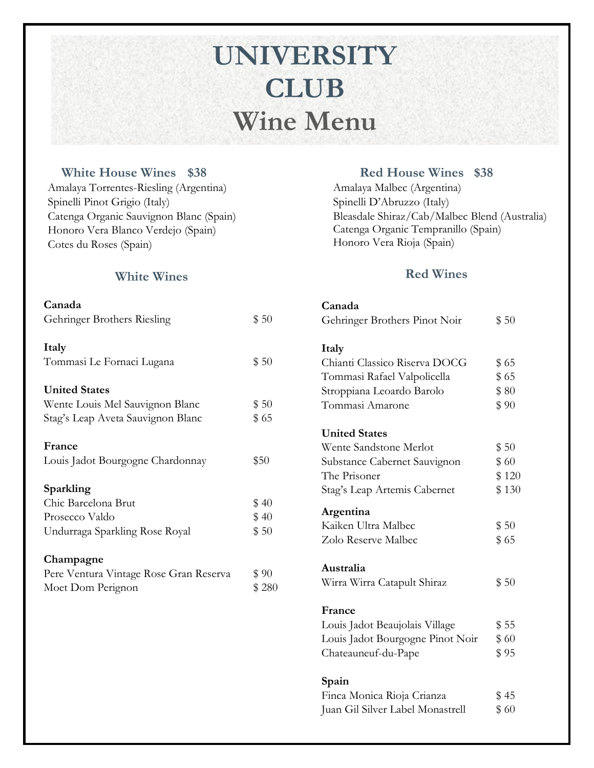# **UNIVERSITY CLUB Wine Menu**

### **White House Wines \$38**

Amalaya Torrentes-Riesling (Argentina) Spinelli Pinot Grigio (Italy) Catenga Organic Sauvignon Blanc (Spain) Honoro Vera Blanco Verdejo (Spain) Cotes du Roses (Spain)

### **Red House Wines \$38**

Amalaya Malbec (Argentina) Spinelli D'Abruzzo (Italy) Bleasdale Shiraz/Cab/Malbec Blend (Australia) Catenga Organic Tempranillo (Spain) Honoro Vera Rioja (Spain)

### **Red Wines**

| Canada                           |       |
|----------------------------------|-------|
| Gehringer Brothers Pinot Noir    | \$50  |
| Italy                            |       |
| Chianti Classico Riserva DOCG    | \$65  |
| Tommasi Rafael Valpolicella      | \$65  |
| Stroppiana Leoardo Barolo        | \$80  |
| Tommasi Amarone                  | \$90  |
| <b>United States</b>             |       |
| Wente Sandstone Merlot           | \$50  |
| Substance Cabernet Sauvignon     | \$60  |
| The Prisoner                     | \$120 |
| Stag's Leap Artemis Cabernet     | \$130 |
| Argentina                        |       |
| Kaiken Ultra Malbec              | \$50  |
| Zolo Reserve Malbec              | \$65  |
| Australia                        |       |
| Wirra Wirra Catapult Shiraz      | \$50  |
| France                           |       |
| Louis Jadot Beaujolais Village   | \$55  |
| Louis Jadot Bourgogne Pinot Noir | \$60  |
| Chateauneuf-du-Pape              | \$ 95 |
| Spain                            |       |
| Finca Monica Rioja Crianza       | \$45  |
| Juan Gil Silver Label Monastrell | \$60  |

 **White Wines**

| Canada                                 |       |
|----------------------------------------|-------|
| Gehringer Brothers Riesling            | \$50  |
| Italy                                  |       |
| Tommasi Le Fornaci Lugana              | \$50  |
| <b>United States</b>                   |       |
| Wente Louis Mel Sauvignon Blanc        | \$50  |
| Stag's Leap Aveta Sauvignon Blanc      | \$65  |
| France                                 |       |
| Louis Jadot Bourgogne Chardonnay       | \$50  |
| Sparkling                              |       |
| Chic Barcelona Brut                    | \$40  |
| Prosecco Valdo                         | \$40  |
| Undurraga Sparkling Rose Royal         | \$50  |
| Champagne                              |       |
| Pere Ventura Vintage Rose Gran Reserva | \$90  |
| Moet Dom Perignon                      | \$280 |